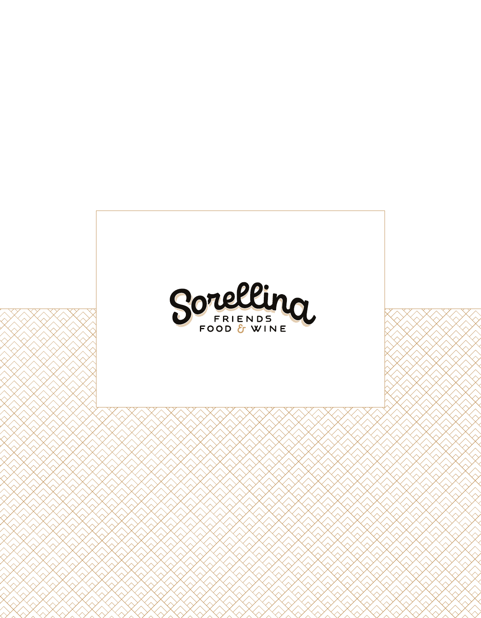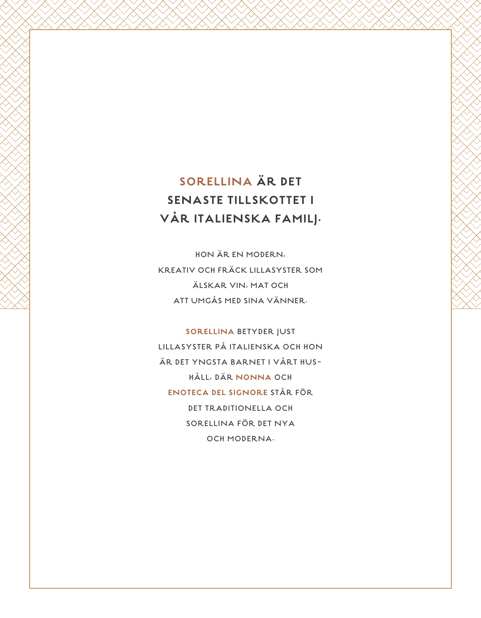## SORELLINA ÄR DET **SENASTE TILLSKOTTET I** VÅR ITALIENSKA FAMILJ.

HON ÄR EN MODERN, **KREATIV OCH FRÄCK LILLASYSTER SOM** ÄLSKAR VIN, MAT OCH ATT UMGÅS MED SINA VÄNNER.

**SORELLINA BETYDER JUST** LILLASYSTER PÅ ITALIENSKA OCH HON ÄR DET YNGSTA BARNET I VÅRT HUS-HÅLL, DÄR NONNA OCH ENOTECA DEL SIGNORE STÅR FÖR **DET TRADITIONELLA OCH** SORELLINA FÖR DET NYA OCH MODERNA.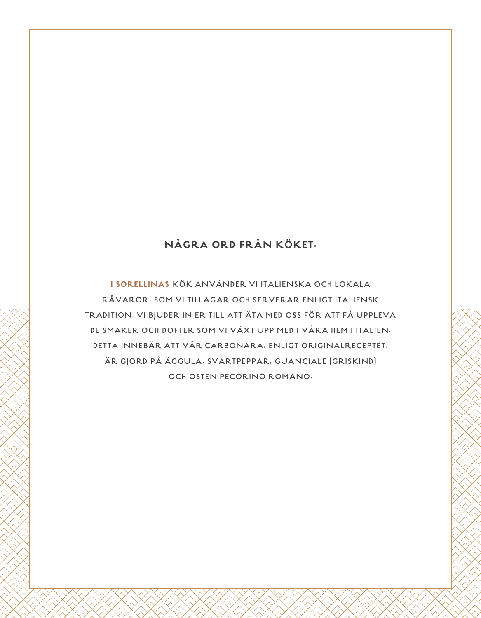## NÅGRA ORD FRÅN KÖKET.

I SORELLINAS KÖK ANVÄNDER VI ITALIENSKA OCH LOKALA RÅVAROR, SOM VI TILLAGAR OCH SERVERAR ENLIGT ITALIENSK TRADITION. VI BJUDER IN ER TILL ATT ÄTA MED OSS FÖR ATT FÅ UPPLEVA DE SMAKER OCH DOFTER SOM VI VÄXT UPP MED I VÅRA HEM I ITALIEN. DETTA INNEBÄR ATT VÅR CARBONARA, ENLIGT ORIGINALRECEPTET, ÄR GJORD PÅ ÄGGULA, SVARTPEPPAR, GUANCIALE (GRISKIND) OCH OSTEN PECORINO ROMANO.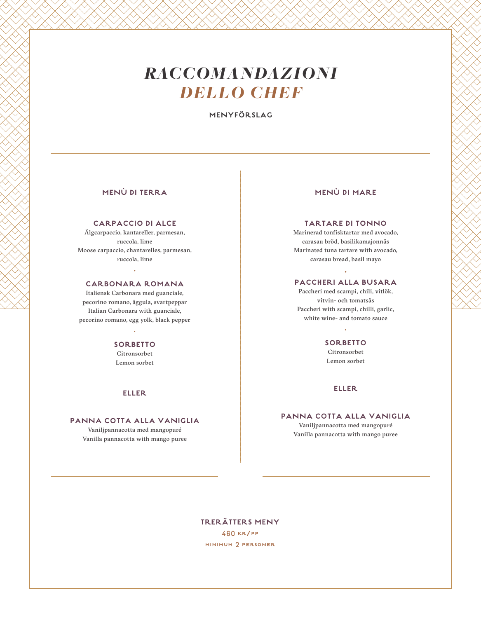# *RACCOMANDAZIONI DELLO CHEF*

**MENYFÖRSLAG**

### **MENÙ DI TERRA**

#### **CARPACCIO DI ALCE**

Älgcarpaccio, kantareller, parmesan, ruccola, lime Moose carpaccio, chantarelles, parmesan, ruccola, lime

## . **CARBONARA ROMANA**

Italiensk Carbonara med guanciale, pecorino romano, äggula, svartpeppar Italian Carbonara with guanciale, pecorino romano, egg yolk, black pepper

## · **SORBETTO**

Citronsorbet Lemon sorbet

#### **ELLER**

#### **PANNA COTTA ALLA VANIGLIA**

Vaniljpannacotta med mangopuré Vanilla pannacotta with mango puree

### **MENÙ DI MARE**

#### **TARTARE DI TONNO**

Marinerad tonfisktartar med avocado, carasau bröd, basilikamajonnäs Marinated tuna tartare with avocado, carasau bread, basil mayo

## · **PACCHERI ALLA BUSARA**

Paccheri med scampi, chili, vitlök, vitvin- och tomatsås Paccheri with scampi, chilli, garlic, white wine- and tomato sauce

## · **SORBETTO**

Citronsorbet Lemon sorbet

#### **ELLER**

**PANNA COTTA ALLA VANIGLIA** Vaniljpannacotta med mangopuré Vanilla pannacotta with mango puree

## **TRERÄTTERS MENY**

460 kr/pp minimum 2 personer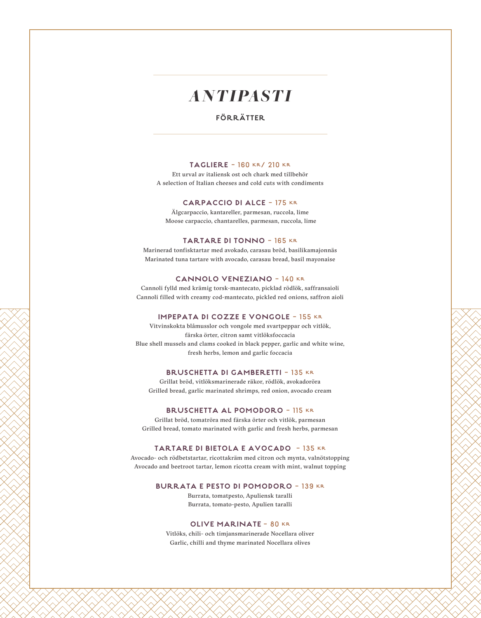## *ANTIPASTI*

### **FÖRRÄTTER**

#### **TAGLIERE** - 160 kr/ 210 kr

Ett urval av italiensk ost och chark med tillbehör A selection of Italian cheeses and cold cuts with condiments

#### **CARPACCIO DI ALCE** - 175 kr

Älgcarpaccio, kantareller, parmesan, ruccola, lime Moose carpaccio, chantarelles, parmesan, ruccola, lime

#### **TARTARE DI TONNO** - 165 kr

Marinerad tonfisktartar med avokado, carasau bröd, basilikamajonnäs Marinated tuna tartare with avocado, carasau bread, basil mayonaise

#### **CANNOLO VENEZIANO** - 140 kr

Cannoli fylld med krämig torsk-mantecato, picklad rödlök, saffransaioli Cannoli filled with creamy cod-mantecato, pickled red onions, saffron aioli

#### **IMPEPATA DI COZZE E VONGOLE** - 155 kr

Vitvinskokta blåmusslor och vongole med svartpeppar och vitlök, färska örter, citron samt vitlöksfoccacia Blue shell mussels and clams cooked in black pepper, garlic and white wine, fresh herbs, lemon and garlic foccacia

#### **BRUSCHETTA DI GAMBERETTI** - 135 kr

Grillat bröd, vitlöksmarinerade räkor, rödlök, avokadoröra Grilled bread, garlic marinated shrimps, red onion, avocado cream

#### **BRUSCHETTA AL POMODORO** - 115 kr

Grillat bröd, tomatröra med färska örter och vitlök, parmesan Grilled bread, tomato marinated with garlic and fresh herbs, parmesan

#### **TARTARE DI BIETOLA E AVOCADO** - 135 kr

Avocado- och rödbetstartar, ricottakräm med citron och mynta, valnötstopping Avocado and beetroot tartar, lemon ricotta cream with mint, walnut topping

#### **BURRATA E PESTO DI POMODORO** - 139 kr

Burrata, tomatpesto, Apuliensk taralli Burrata, tomato-pesto, Apulien taralli

#### **OLIVE MARINATE** - 80 kr

Vitlöks, chili- och timjansmarinerade Nocellara oliver Garlic, chilli and thyme marinated Nocellara olives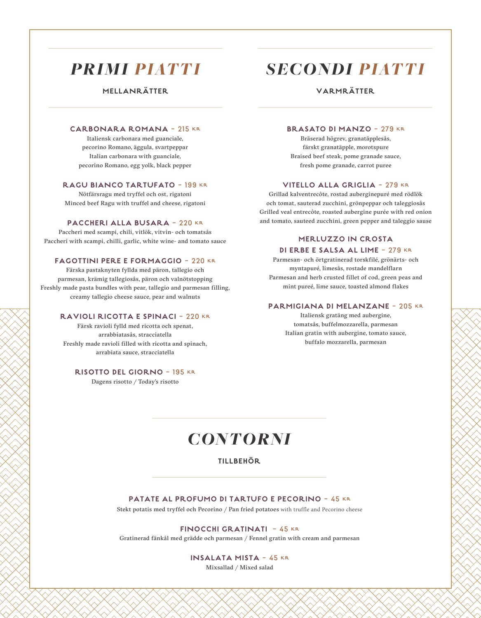## *PRIMI PIATTI*

**MELLANRÄTTER**

#### **CARBONARA ROMANA** - 215 kr

Italiensk carbonara med guanciale, pecorino Romano, äggula, svartpeppar Italian carbonara with guanciale, pecorino Romano, egg yolk, black pepper

#### **RAGU BIANCO TARTUFATO** - 199 kr

Nötfärsragu med tryffel och ost, rigatoni Minced beef Ragu with truffel and cheese, rigatoni

#### **PACCHERI ALLA BUSARA** - 220 kr

Paccheri med scampi, chili, vitlök, vitvin- och tomatsås Paccheri with scampi, chilli, garlic, white wine- and tomato sauce

#### **FAGOTTINI PERE E FORMAGGIO** - 220 kr

Färska pastaknyten fyllda med päron, tallegio och parmesan, krämig tallegiosås, päron och valnötstopping Freshly made pasta bundles with pear, tallegio and parmesan filling, creamy tallegio cheese sauce, pear and walnuts

#### **RAVIOLI RICOTTA E SPINACI** - 220 kr

Färsk ravioli fylld med ricotta och spenat, arrabbiatasås, stracciatella Freshly made ravioli filled with ricotta and spinach, arrabiata sauce, stracciatella

#### **RISOTTO DEL GIORNO** - 195 kr

Dagens risotto / Today's risotto

## *SECONDI PIATTI*

## **VARMRÄTTER**

#### **BRASATO DI MANZO** - 279 kr

Bräserad högrev, granatäpplesås, färskt granatäpple, morotspure Braised beef steak, pome granade sauce, fresh pome granade, carrot puree

#### **VITELLO ALLA GRIGLIA** - 279 kr

Grillad kalventrecôte, rostad auberginepuré med rödlök och tomat, sauterad zucchini, grönpeppar och taleggiosås Grilled veal entrecôte, roasted aubergine purée with red onion and tomato, sauteed zucchini, green pepper and taleggio sause

#### **MERLUZZO IN CROSTA**

#### **DI ERBE E SALSA AL LIME** - 279 kr

Parmesan- och örtgratinerad torskfilé, grönärts- och myntapuré, limesås, rostade mandelflarn Parmesan and herb crusted fillet of cod, green peas and mint pureé, lime sauce, toasted almond flakes

#### **PARMIGIANA DI MELANZANE** - 205 kr

Italiensk gratäng med aubergine, tomatsås, buffelmozzarella, parmesan Italian gratin with aubergine, tomato sauce, buffalo mozzarella, parmesan

## *CONTORNI*

### **TILLBEHÖR**

#### **PATATE AL PROFUMO DI TARTUFO E PECORINO** - 45 kr

Stekt potatis med tryffel och Pecorino / Pan fried potatoes with truffle and Pecorino cheese

#### **FINOCCHI GRATINATI** - 45 kr

Gratinerad fänkål med grädde och parmesan / Fennel gratin with cream and parmesan

**INSALATA MISTA** - 45 kr Mixsallad / Mixed salad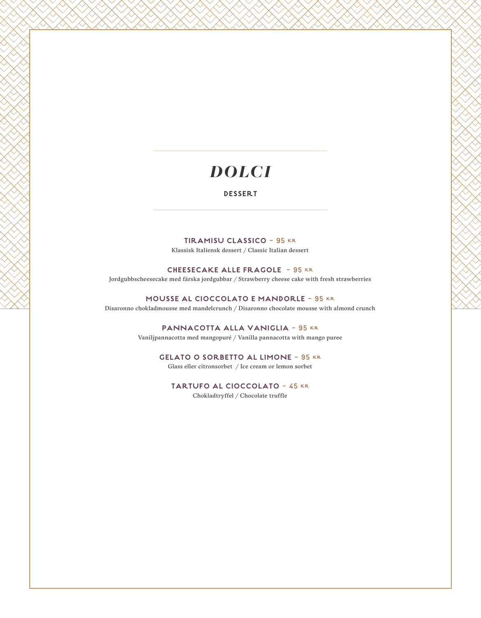## *DOLCI*

#### **DESSERT**

**TIRAMISU CLASSICO** - 95 kr Klassisk Italiensk dessert / Classic Italian dessert

**CHEESECAKE ALLE FRAGOLE** - 95 kr Jordgubbscheesecake med färska jordgubbar / Strawberry cheese cake with fresh strawberries

**MOUSSE AL CIOCCOLATO E MANDORLE** - 95 kr Disaronno chokladmousse med mandelcrunch / Disaronno chocolate mousse with almond crunch

> **PANNACOTTA ALLA VANIGLIA** - 95 kr Vaniljpannacotta med mangopuré / Vanilla pannacotta with mango puree

**GELATO O SORBETTO AL LIMONE** - 95 kr Glass eller citronsorbet / Ice cream or lemon sorbet

**TARTUFO AL CIOCCOLATO** - 45 kr Chokladtryffel / Chocolate truffle